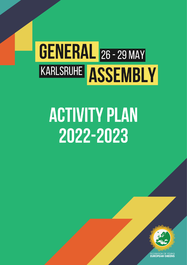# **GENERAL** 26 - 29 MAY KARLSRUHE ASSEMBLY

## **ACTIVITY PLAN** 2022-2023



FEDERATION OF YOUNG<br>**EUROPEAN GREENS**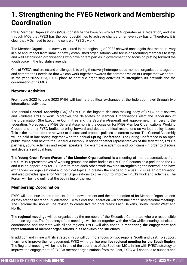## **1. Strengthening the FYEG Network and Membership Coordination**

FYEG Member Organisations (MOs) constitute the base on which FYEG operates as a federation, and it is through MOs that FYEG has the best possibilities to achieve change on an everyday basis. Therefore, it is clear that MOs need to be at the centre of FYEG's work.

The Member Organisation survey executed in the beginning of 2022 showed once again that members vary in size and impact from small or newly established organisations who focus on recruiting members to large and well established organisations who have parent parties in government and focus on putting forward the youth voice in the legislative agenda.

One of FYEG's main roles and challenges is to bring these very heterogeneous member organisations together and cater to their needs so that we can work together towards the common vision of Europe that we share. In the year 2022/2023, FYEG plans to continue organising activities to strengthen its network and the coordination of its MOs.

## **Network Activities**

From June 2022 to June 2023 FYEG will facilitate political exchanges at the federation level through two international activities:

The annual **General Assembly** (GA) of FYEG is the highest decision-making body of FYEG as it reviews and validates FYEG's work. Moreover, the delegates of Member Organisations elect the leadership of the organisation (the Executive Committee and the Secretary-General) and approve new members to the federation. Moreover, the FYEG General Assembly is the occasion for FYEG Member Organisations, Working Groups and other FYEG bodies to bring forward and debate political resolutions on various policy issues. This is the moment for the network to discuss and propose policies on current events. The General Assembly will be held in late spring together with the annual **Spring Conference**. The Spring Conference is an open public event, held next to the General Assembly. It brings together representatives of the federation, FYEG's partners, young activities and expert speakers (for example academics and politicians) in order to discuss and debate a political topic.

The **Young Green Forum (Forum of the Member Organisations)** is a meeting of the representatives from FYEG MOs, representatives of working groups and other bodies of FYEG. It functions as a prelude to the GA and it is an opportunity for FYEGers to meet each other, work towards strengthening the network and have exchanges on organisational and political topics. It creates the space to discuss FYEG as an organisation and also provides space for Member Organisations to give input to improve FYEG's work and activities. The Forum will be held online at the beginning of the year.

## **Membership Coordination**

FYEG will continue its commitment for the development and the coordination of its Member Organisations, as they are the heart of our Federation. To this end, the Federation will continue organising regional meetings. The Regional division will be revised to create five regional areas: East, Balkans, South, Center-West and North.

The **regional meetings** will be organised by the members of the Executive Committee who are responsible for these regions. The frequency of the meetings will be set together with the MOs while ensuring consistent coordination and contacts with all the regions. FYEG will also continue **monitoring the engagement and representation of member organisations** in its activities and structures.

In addition and in line with its strategy, FYEG will put more focus on two regions: South and East. To support them and improve their engagement, FYEG will organise **one live regional meeting for the South Region**. The Regional meeting will be held in one of the countries of the Southern MOs. In line with FYEG's strategy to improve the engagement of FYEG's member organisations from the East, FYEG will continue to support and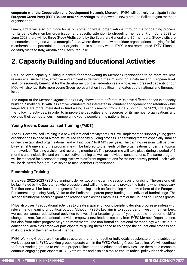**cooperate with the Cooperation and Development Network**. Moreover, FYEG will actively participate in the **European Green Party (EGP) Balkan network meetings** to empower its newly created Balkan region member organisations.

Finally, FYEG will also put more focus on some individual organisations, through the onboarding process for its candidate member organisation and specific attention to struggling members. From June 2022 to June 2023 there will be **three Study Visits** done by the Secretary General and EC members. Study visits are to countries or regions with a strategic focus, where there are new candidate organisations applying for full membership or a potential member organisation in a country where FYEG is not represented. FYEG Plans to do study visits to Italy, Austria and Czech Republic.

## **2. Capacity Building and Educational Activities**

FYEG believes capacity building is central for empowering its Member Organisations to be more resilient, resourceful, sustainable, effective and efficient in delivering their mission on a national and European level; and consequently beneficial for the development of the Federation as a whole. An increased capacity of our MOs will also facilitate more young Green representation in political mandates at the national and European level.

The output of the Member Organisation Survey showed that different MOs have different needs in capacity building. Smaller MOs with less active volunteers are interested in volunteer engagement and retention while larger MOs are more interested in fundraising. For this reason, from June 2022 to June 2023, FYEG plans the following activities, in order to improve the capacities and resources of its member organisations and develop their competences in empowering young people at the national level.

## **Young Greens Decentralised Training (YGDT)**

The YG Decentralised Training is a new educational activity that FYEG will implement to support young green organisations in need of a more structured capacity building process. The training targets especially smaller or newly established organisations, and will include 7 to 9 MOs per year. The training sessions will be given by external trainers and the programme will be tailored to the needs of the organisations under the topical framework of "Building a vision and recruiting members". The programme will take place during a period of 6 months and include live and online collective training as well as individual consultations. The same program will be repeated for a second training cycle with different organisations for the next activity period. Each cycle will be delivered for a group of seven to nine Member Organisations.

## **Fundraising Training**

In the year 2022/2023 FYEG is planning to deliver two online training sessions on fundraising. The sessions will be facilitated by the Secretariat where possible and will bring experts to provide the training when necessary. The first one will be focused on general fundraising, such as fundraising via the Members of the European Parliament, organising Study Visits to the Parliament, parent party funding and individual fundraisings. The second training will focus on grant applications such as the Erasmus+ Grant or the Council of Europe's grants.

FYEG also uses its educational activities to create a space for young people to develop progressive ideas with relevant and meaningful political output. Although FYEG's key aim is to support and invest in its members, we use our annual educational activities to invest in a broader group of young people to become skilful changemakers. Our educational activities empower new leaders, not only from FYEG Member Organisations, but also from other progressive youth movements. The non-formal educational methodology we use in our educational activities empower participants by giving them space to co-shape the educational process and making each of them an actor of change.

FYEG Working Groups are thematic structures that bring together individuals passionate on one subject to work deeper on it. FYEG working groups operate within the FYEG Working Group Guideline. We will continue to foster working groups to ensure a proper follow-up to the educational activities, use them as a means to continue engaging participants in FYEG structures and also as a tool to ensure radical policy ideas developed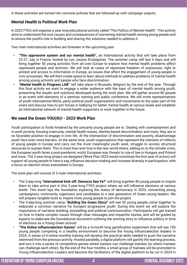in these activities are turned into concrete policies that are followed-up with campaign outputs.

## **Mental Health is Political Work Plan**

In 2022 FYEG will organise a year long educational activity called "The Politics of Mental Health". This activity aims to understand the root causes and consequences of worsening mental health among young people and to ensure the youth's role in building and sharing the solutions needed to address it.

Two main international activities are foreseen in the upcoming year:

- **• "This oppressive system and our mental health",** an international activity that will take place from 22-27 July in France, hosted by Les Jeunes Écologistes. The summer camp will last 6 days and will bring together 50 young activists from all over Europe to explore how mental health problems affect oppressed people and activists. We will look at cases of repressed freedom of expression, right to protest and access to information in Europe, as issues that affect the engagement of young people in civic processes. We will then create space to learn about methods to address problems of mental health among young activists and people who face discrimination.
- **• "Mental health in Progress LAB"** will take place in Brussels, Belgium by the end of the year. Through this final activity we want to engage a wider audience with the topic of mental health among youth, presenting the results and solutions developed during the work plan. We will gather around 80 people in an event with elements of a seminar, training and public conference. We will invite representatives of youth international NGOs, party political youth organisations and movements to the open part of the event and discuss how to join forces in lobbying for better mental health at various levels and establish an international network of mental health supporters to work together in the future.

## **We need the Green YOU(th)! - 2023 Work Plan**

Youth participation is firstly hindered by the precarity young people are in. Dealing with unemployment and in-work poverty, housing insecurity, mental health issues, identity-based discrimination and more, they are in no favorable position to engage in civic life. At the intersection of discrimination and poverty, disadvantage youth face even more barriers. At the same time, youth organisations that represent the interests of millions of young people in Europe and carry out the most meaningful youth work, struggle to access structural resources to sustain them. This is more than ever true in the new world where, adding on to the climate crisis, the European youth faces a post-pandemic world, European war, threats to rule of law in Hungary and Poland and more. The 2-year-long project we designed (Work Plan 2023 would constitute the first year of action) will support all young people to have a say, influence decision-making and increase diversity in participation, with a focus on election times everywhere in Europe.

The work plan will consist of 3 main international activities:

- The 3-day-long "**International kick-off: Democra See Ya?**" will bring together 80 young people to inspire them to take active part in this 2-year-long FYEG project where we will influence elections at various levels. This event lays the foundation exploring the status of democracy in 2023, connecting young campaigners, community organisers and candidates to a new generation of Green young leaders. We will prepare tangible tools to inspire more young people to join the project.
- The 5-day-long summer camp "**Building the Green Story!**" will see 50 young people come together to elaborate a common narrative for Europe's progressive youth. During this event we will explore the importance of narrative building, storytelling and political communication. Participants will get trained on how to frame complex issues through clear messages and impactful stories, and will be guided by experts to elaborate the foundational document outlining the winning story to influence politics in time of elections as a Young Green activist.
- "**The Online Influencelection Games**" will be a 4-month long gamification experiment that will see 150 young people competing in a healthy environment to become the Young Influencelection leaders in 2024. A series of 4 online monthly training will develop the practical skills needed to push the narrative stemmed from the previous activity. Hosted parallelly, a digital platform will gamify the learning process, and turn it into a series of competitive games where trainers can challenge trainees (or where trainees can challenge each other). By the end of the four months, a small group of trainees will be promoted to Young Influencelection Leaders and become the facilitators of the digital platform to be run in 2024 in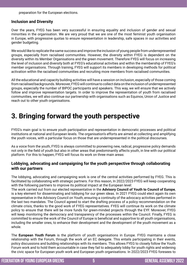preparation for the European elections.

#### **Inclusion and Diversity**

Over the years, FYEG has been very successful in ensuring equality and inclusion of gender and sexual minorities in the organisation. We are very proud that we are one of the most feminist youth organisation in Europe, with progressive quotas to ensure representation in leadership, safe spaces in our activities and gender budgeting.

We would like to replicate the same success and improve the inclusion of young people from underrepresented groups, especially from racialised communities. However, the diversity within FYEG is dependent on the diversity within its Member Organisations and the green movement. Therefore FYEG will focus on increasing the level of inclusion and diversity both at FYEG's educational activities and within the membership of FYEG's member organisations. Through training, FYEG will support its members in developing methods for political activation within the racialised communities and recruiting more members from racialised communities.

All the educational and capacity building activities will have a session on inclusion, especially of those coming from racialised backgrounds. Moreover, FYEG will continue to collect data on the inclusion of underrepresented groups, especially the number of BIPOC participants and speakers. This way, we will ensure that we actively follow and improve representation targets. In order to improve the representation of youth from racialised communities, we will also continue our partnership with organisations such as Equinox, Union of Justice and reach out to other youth organisations.

## **3. Bringing forward the youth perspective**

FYEG's main goal is to ensure youth participation and representation in democratic processes and political institutions at national and European levels. The organisation's efforts are aimed at collecting and amplifying the youth voices, with a particular focus on those that are underrepresented in the political discourses.

As a voice from the youth, FYEG is always committed to pioneering new, radical, progressive policy demands not only in the field of youth but also in other areas that predominantly affects youth, in line with our political platform. For this to happen, FYEG will focus its work on three main areas:

## **Lobbying, advocating and campaigning for the youth perspective through collaborating with our partners**

The lobbying, advocating and campaigning work is one of the central activities performed by FYEG. This is facilitated by collaborating with strategic partners. For this reason, In 2022/2023 FYEG will keep cooperating with the following partners to improve its political impact at the European level:

The work carried out from our elected representative in the **Advisory Council of Youth to Council of Europe**, is a key element for disseminating and lobbying for our green ideas. In 2021 FYEG could elect again its own representative in the Advisory Council on Youth, ensuring a continuity of the advocacy activities performed in the last two mandates. The Council agreed to start the drafting process of a policy recommendation on the climate crisis, thanks to the good work of FYEG representatives. FYEG will continue its work on the climate policy to ensure that there will be more funds for green-minded projects through the EYF. Moreover, FYEG will keep monitoring the democracy and transparency of the processes within the Council. Finally, FYEG is committed to ensure the work of the Council of Europe is beneficial and supportive to all youth organisations, including the smaller ones, to enhance their development and the development of the youth movement as a whole.

The **European Youth Forum** is the platform of youth organisations in Europe. FYEG maintains a close relationship with the Forum, through the work of an EC delegate. This entails participating in their events, policy discussions and building relationships with its members. This allows FYEG to closely follow the Youth Forum work and to hold them accountable in case they fail to adequately lobby for youth rights and widening the civic space for European youth work and European youth organisations. In 2022/2023 FYEG foresees to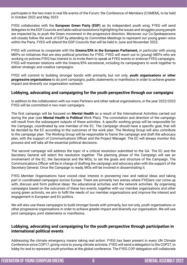participate in the two main in real life events of the Forum: the Conference of Members (COMEM), to be held in October 2022 and May 2023.

FYEG collaborates with the **European Green Party (EGP)** as its independent youth wing. FYEG will send delegates to the EGP Councils and table radical resolutions highlighting the issues and struggles young people are impacted by, to push the Green movement in the progressive direction. Moreover, our Co-Spokepersons will closely follow the work of EGP by attending its Committee Meetings to represent our young green voice within the Party. FYEG will attend the EGP Councils that will be held in June and November 2022.

FYEG will continue to cooperate with the **Greens/EFA in the European Parliament,** in particular with young MEPs on initiatives that are also political priorities for FYEG. FYEG will reach out to (young) MEPs who are working on policies FYEG has interest in, to invite them to speak at FYEG events or endorse FYEG campaigns. FYEG will maintain relations with the Greens/EFA secretariat, including its campaigners to work together to deliver strategic and creative campaigns.

FYEG will commit to building stronger bonds with primarily, but not only, **youth organisations or other progressive organisations** to do joint campaigns, public statements or manifestos in order to achieve greater impact and diversify our organisation outreach.

## **Lobbying, advocating and campaigning for the youth perspective through our campaigns**

In addition to the collaboration with our main Partners and other radical organisations, in the year 2022/2023 FYEG will be committed in two main campaigns.

The first campaign will be focused on **Mental Health** as a result of the International Activities carried out during the year (see **Mental Health is Political** Work Plan). The connotation and direction of the campaign will result from the subsequent outputs of these activities. A specific working group will be responsible for the Campaign, coordinated by one member of the EC. The Campaign should have a specific goal, that will be decided by the EC according to the outcomes of the work plan. The Working Group will also contribute to the campaign plan. The Working Group will be responsible to frame the campaign and draft the advocacy plan, with the support of Communications Officer and the Project Manager. The EC will always monitor this process and will take all the essential political decisions.

The second campaign will address the topic of a critical resolution submitted to the GA. The EC and the Secretary General will select the resolution together. The planning phase of the Campaign will see an involvement of the EC, the Secretariat and the MOs, to set the goals and structure of the Campaign. The Communications Officer will be in charge of drafting the campaign and advocacy plan with the support of the Secretary General. Once the Campaign is ready, MOs will be involved in disseminating it.

FYEG Member Organisations have voiced clear interest in pioneering new and radical ideas and taking part in coordinated campaigns across Europe. There are primarily two arenas where FYEGers can come up with, discuss and form political ideas: the educational activities and the network activities. By organising campaigns based on the outcomes of these two events, together with our member organisations and other young green activists, we aim to fulfil the needs of our member organisations and improve the interest and engagement in European and EU politics.

We will also use these campaigns to build stronger bonds with primarily, but not only, youth organisations or other progressive organisations in order to achieve greater impact and diversify our organisation. We will use joint campaigns, joint statements or manifestos.

## **Lobbying, advocating and campaigning for the youth perspective through participation in international political events**

Addressing the climate emergency means taking real action. FYEG has been present in every UN Climate Conference since COP17, giving voice to young climate activists. FYEG will send a delegation to the COP27, to lobby for and to represent youth priorities at the global conference. The FYEG COP delegation will collaborate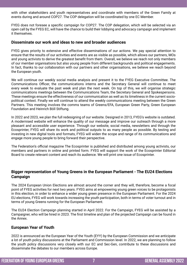with other stakeholders and youth representatives and coordinate with members of the Green Family at events during and around COP27. The COP delegation will be coordinated by one EC Member.

FYEG does not foresee a specific campaign for COP27. The COP delegation, which will be selected via an open call by the FYEG EC, will have the chance to build their lobbying and advocacy campaign and implement it themselves.

#### **Disseminate our work and ideas to new and broader audiences**

FYEG gives priority to extensive and effective disseminations of our actions. We pay special attention to ensure that the results of our activities and events are as visible as possible, which allows our partners, MOs and young activists to derive the greatest benefit from them. Overall, we believe we reach not only members of our member organisations but also young people from different backgrounds and political engagements. In fact, thanks to our collaboration with our partners and other organisations, we believe we reach beyond the European youth.

We will continue our weekly social media analysis and present it to the FYEG Executive Committee. The Communications Officer, the communications interns and the Secretary General will continue to meet every week to evaluate the past week and plan the next week. On top of this, we will organise strategic communications meetings between the Communications Team, the Secretary General and Spokespersons. These meetings ensure the effectiveness of our communication as well as its timeliness in the current sociopolitical context. Finally we will continue to attend the weekly communications meeting between the Green Partners. This meeting involves the comms teams of Greens/EFA, European Green Party, Green European Foundation and Heinrich Böll Stiftung.

In 2022 and 2023, we plan the full redesigning of our website. Designed in 2013, FYEG's website is outdated. A modernised website will enhance the quality of our message and improve our outreach through a more pleasant and accessible user experience. Through our website, social media, newsletters and through the Ecosprinter, FYEG will share its work and political outputs to as many people as possible. By testing and investing in new digital tools and formats, FYEG will widen the scope and range of its communications and engage more young people to bring forward their perspective.

The Federation's official magazine The Ecosprinter is published and distributed among young activists, our members and partners in online and printed form. FYEG will support the work of the Ecosprinter Editorial Board to create relevant content and reach its audience. We will print one issue of Ecosprinter.

## **Bigger representation of Young Greens in the European Parliament - The EU24 Elections Campaign**

The 2024 European Union Elections are almost around the corner and they will, therefore, become a focal point of FYEG activities for next two years. FYEG aims at empowering young green voices to be protagonists in this election, in order to enhance a wider young green presence in the European Parliament. For the 2024 EU elections, FYEG will work towards increasing the youth participation, both in terms of voter turnout and in terms of young Greens running for the European Parliament.

The EU24 Election Campaign planning started in April 2022. For the Campaign, FYEG will be assisted by a Campaigner, who will be hired in 2023. The first timeline and plan of the projected Campaign can be found in the Annex.

## **European Year of Youth**

2022 is announced as the European Year of the Youth (EYY) by the European Commission and we anticipate a lot of youth policy discussions at the Parliament and Commission level. In 2022, we are planning to follow the youth policy discussions very closely with our EC and Sec-Gen, contribute to these discussions and disseminate the debates to our members across Europe.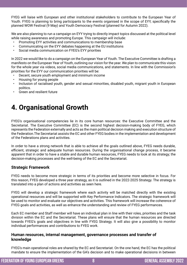FYEG will liaise with European and other institutional stakeholders to contribute to the European Year of Youth. FYEG is planning to bring participants to the events organised in the scope of EYY, specifically the planned WOW Festival (9 May) and Youth Democracy Festival (planned for Autumn 2022).

We are also planning to run a campaign on EYY trying to directly impact topics discussed at the political level while raising awareness and promoting Europe. This campaign will include:

- Promoting EYY activities and communications to membership base
- Communicating on the EYY debates happening at the EU institutions
- Social media communication on FYEG's EYY priorities

In 2022 we would like to do a campaign on the European Year of Youth. The Executive Committee is drafting a manifesto on the European Year of Youth, outlining our vision for the year. We plan to communicate this vision for the whole year via videos, social media communications, and statements. In line with the Commission's priorities for the EYY our communication priorities will be:

- Decent, secure youth employment and minimum income
- Housing for young people
- Inclusion of racialised youth, gender and sexual minorities, disabled youth, migrant youth in European politics.
- Green and resilient future

## **4. Organisational Growth**

FYEG's organisational competencies lie in its core human resources: the Executive Committee and the Secretariat. The Executive Committee (EC) is the second highest decision-making body of FYEG, which represents the Federation externally and acts as the main political decision making and execution structure of the Federation.The Secretariat assists the EC and other FYEG bodies in the implementation and development of the Federations plans and activities.

In order to have a strong network that is able to achieve all the goals outlined above, FYEG needs durable, efficient, strategic and adequate human resources. During the organisational change process, it became apparent that in order to have a stable and durable human resources, FYEG needs to look at its strategy; the decision-making processes and the well-being of the EC and the Secretariat.

#### **Strategic Framework**

FYEG needs to become more strategic in terms of its priorities and become more selective in focus. For this reason, FYEG developed a three year strategy, as it is outlined in the 2022-2025 Strategy. The strategy is translated into a plan of actions and activities as seen here.

FYEG will develop a strategic framework where each activity will be matched directly with the existing operational resources and will be supported with Key Performance Indicators. The strategic framework will be used to monitor and evaluate our objectives and activities. This framework will increase the coherence of FYEG goals and activities, as well as enhance the understanding and review of FYEG performances.

Each EC member and Staff member will have an individual plan in line with their roles, priorities and the task division within the EC and the Secretariat. These plans will ensure that the human resources are directed towards FYEG's goals and objectives in line with FYEG Strategy. It will also give a possibility to monitor individual performances and contributions to FYEG work.

## **Human resources, internal management, governance processes and transfer of knowledge**

FYEG's main operational roles are shared by the EC and Secretariat. On the one hand, the EC has the political mandate to ensure the implementation of the GA's decision and to make operational decisions in between